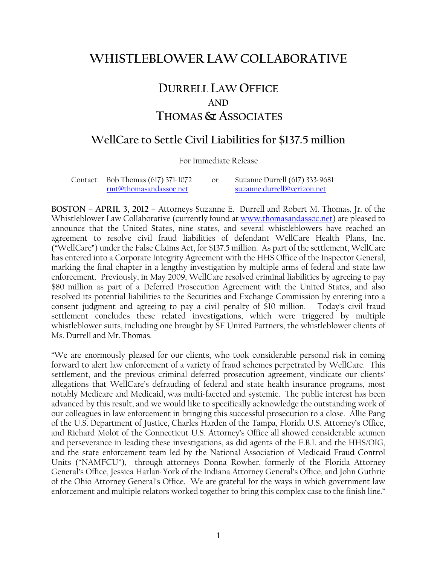## **WHISTLEBLOWER LAWCOLLABORATIVE**

## **DURRELL LAW OFFICE AND THOMAS & ASSOCIATES**

## **WellCare to Settle Civil Liabilities for \$137.5 million**

For Immediate Release

| Contact: Bob Thomas (617) 371-1072 | Suzanne Durrell (617) 333-9681 |
|------------------------------------|--------------------------------|
| rmt@thomasandassoc.net             | suzanne.durrell@verizon.net    |

**BOSTON** – **APRIL 3, 2012** – Attorneys Suzanne E. Durrell and Robert M. Thomas, Jr. of the Whistleblower Law Collaborative (currently found at www.thomasandassoc.net) are pleased to announce that the United States, nine states, and several whistleblowers have reached an agreement to resolve civil fraud liabilities of defendant WellCare Health Plans, Inc. ("WellCare") under the False Claims Act, for \$137.5 million. As part of the settlement, WellCare has entered into a Corporate Integrity Agreement with the HHS Office of the Inspector General, marking the final chapter in a lengthy investigation by multiple arms of federal and state law enforcement. Previously, in May 2009, WellCare resolved criminal liabilities by agreeing to pay \$80 million as part of a Deferred Prosecution Agreement with the United States, and also resolved its potential liabilities to the Securities and Exchange Commission by entering into a consent judgment and agreeing to pay a civil penalty of \$10 million. Today's civil fraud settlement concludes these related investigations, which were triggered by multiple whistleblower suits, including one brought by SF United Partners, the whistleblower clients of Ms. Durrell and Mr. Thomas.

"We are enormously pleased for our clients, who took considerable personal risk in coming forward to alert law enforcement of a variety of fraud schemes perpetrated by WellCare. This settlement, and the previous criminal deferred prosecution agreement, vindicate our clients' allegations that WellCare's defrauding of federal and state health insurance programs, most notably Medicare and Medicaid, was multi-faceted and systemic. The public interest has been advanced by this result, and we would like to specifically acknowledge the outstanding work of our colleagues in law enforcement in bringing this successful prosecution to a close. Allie Pang of the U.S. Department of Justice, Charles Harden of the Tampa, Florida U.S. Attorney's Office, and Richard Molot of the Connecticut U.S. Attorney's Office all showed considerable acumen and perseverance in leading these investigations, as did agents of the F.B.I. and the HHS/OIG, and the state enforcement team led by the National Association of Medicaid Fraud Control Units ("NAMFCU"), through attorneys Donna Rowher, formerly of the Florida Attorney General's Office, Jessica Harlan-York of the Indiana Attorney General's Office, and John Guthrie of the Ohio Attorney General's Office. We are grateful for the ways in which government law enforcement and multiple relators worked together to bring this complex case to the finish line."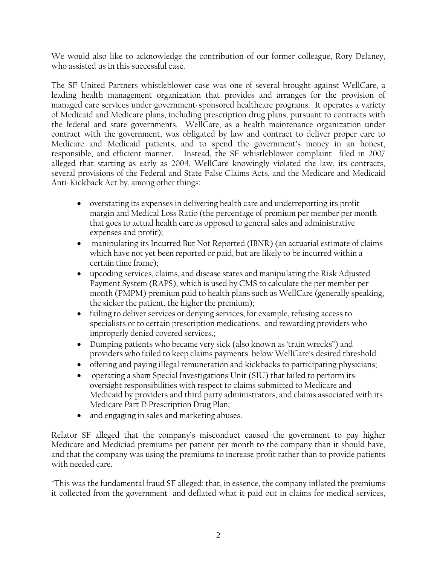We would also like to acknowledge the contribution of our former colleague, Rory Delaney, who assisted us in this successful case.

The SF United Partners whistleblower case was one of several brought against WellCare, a leading health management organization that provides and arranges for the provision of managed care services under government-sponsored healthcare programs. It operates a variety of Medicaid and Medicare plans, including prescription drug plans, pursuant to contracts with the federal and state governments. WellCare, as a health maintenance organization under contract with the government, was obligated by law and contract to deliver proper care to Medicare and Medicaid patients, and to spend the government's money in an honest, responsible, and efficient manner. Instead, the SF whistleblower complaint filed in 2007 alleged that starting as early as 2004, WellCare knowingly violated the law, its contracts, several provisions of the Federal and State False Claims Acts, and the Medicare and Medicaid Anti-Kickback Act by, among other things:

- overstating its expenses in delivering health care and underreporting its profit margin and Medical Loss Ratio (the percentage of premium per member per month that goes to actual health care as opposed to general sales and administrative expenses and profit);
- manipulating its Incurred But Not Reported (IBNR) (an actuarial estimate of claims which have not yet been reported or paid, but are likely to be incurred within a certain time frame);
- upcoding services, claims, and disease states and manipulating the Risk Adjusted Payment System (RAPS), which is used by CMS to calculate the per member per month (PMPM) premium paid to health plans such as WellCare (generally speaking, the sicker the patient, the higher the premium);
- failing to deliver services or denying services, for example, refusing access to specialists or to certain prescription medications, and rewarding providers who improperly denied covered services.;
- Dumping patients who became very sick (also known as 'train wrecks") and providers who failed to keep claims payments below WellCare's desired threshold
- offering and paying illegal remuneration and kickbacks to participating physicians;
- operating a sham Special Investigations Unit (SIU) that failed to perform its oversight responsibilities with respect to claims submitted to Medicare and Medicaid by providers and third party administrators, and claims associated with its Medicare Part D Prescription Drug Plan;
- and engaging in sales and marketing abuses.

Relator SF alleged that the company's misconduct caused the government to pay higher Medicare and Mediciad premiums per patient per month to the company than it should have, and that the company was using the premiums to increase profit rather than to provide patients with needed care.

"This was the fundamental fraud SF alleged: that, in essence, the company inflated the premiums it collected from the government and deflated what it paid out in claims for medical services,